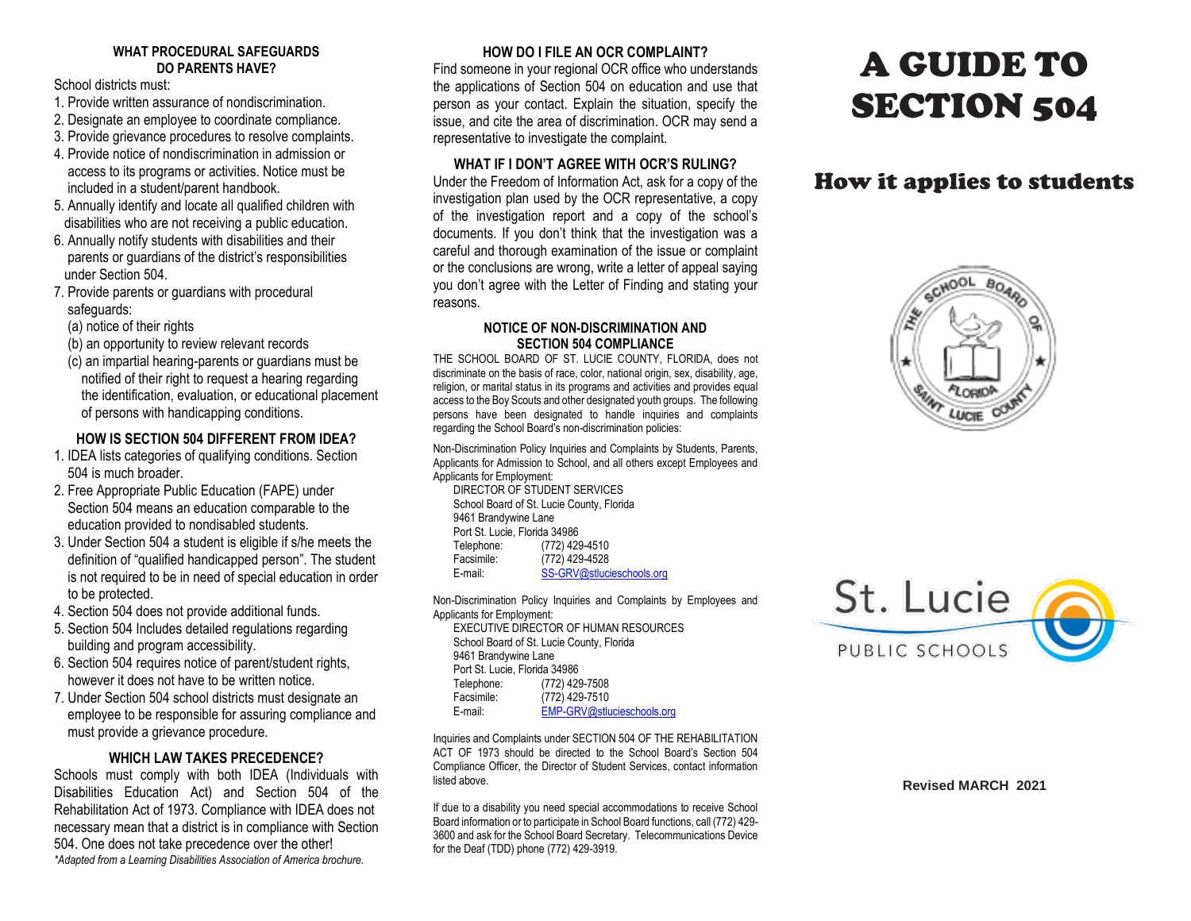### **WHAT PROCEDURAL SAFEGUARDS DO PARENTS HAVE?**

School districts must:

- 1. Provide written assurance of nondiscrimination.
- 2. Designate an employee to coordinate compliance.
- 3. Provide grievance procedures to resolve complaints.
- 4. Provide notice of nondiscrimination in admission or access to its programs or activities. Notice must be included in a student/parent handbook.
- 5. Annually identify and locate all qualified children with disabilities who are not receiving a public education.
- 6. Annually notify students with disabilities and their parents or guardians of the district's responsibilities under Section 504.
- 7. Provide parents or guardians with procedural safeguards:
	- (a) notice of their rights
	- (b) an opportunity to review relevant records
	- (c) an impartial hearing-parents or guardians must be notified of their right to request a hearing regarding the identification, evaluation, or educational placement of persons with handicapping conditions.

### **HOW IS SECTION 504 DIFFERENT FROM IDEA?**

- 1. IDEA lists categories of qualifying conditions. Section 504 is much broader.
- 2. Free Appropriate Public Education (FAPE) under Section 504 means an education comparable to the education provided to nondisabled students.
- 3. Under Section 504 a student is eligible if s/he meets the definition of "qualified handicapped person". The student is not required to be in need of special education in order to be protected.
- 4. Section 504 does not provide additional funds.
- 5. Section 504 Includes detailed regulations regarding building and program accessibility.
- 6. Section 504 requires notice of parent/student rights, however it does not have to be written notice.
- 7. Under Section 504 school districts must designate an employee to be responsible for assuring compliance and must provide a grievance procedure.

# **WHICH LAW TAKES PRECEDENCE?**

Schools must comply with both IDEA (Individuals with Disabilities Education Act) and Section 504 of the Rehabilitation Act of 1973. Compliance with IDEA does not necessary mean that a district is in compliance with Section 504. One does not take precedence over the other! *\*Adapted from a Learning Disabilities Association of America brochure.*

# **HOW DO I FILE AN OCR COMPLAINT?**

Find someone in your regional OCR office who understands the applications of Section 504 on education and use that person as your contact. Explain the situation, specify the issue, and cite the area of discrimination. OCR may send a representative to investigate the complaint.

#### **WHAT IF I DON'T AGREE WITH OCR'S RULING?**

Under the Freedom of Information Act, ask for a copy of the investigation plan used by the OCR representative, a copy of the investigation report and a copy of the school's documents. If you don't think that the investigation was a careful and thorough examination of the issue or complaint or the conclusions are wrong, write a letter of appeal saying you don't agree with the Letter of Finding and stating your reasons.

#### **NOTICE OF NON-DISCRIMINATION AND SECTION 504 COMPLIANCE**

THE SCHOOL BOARD OF ST. LUCIE COUNTY, FLORIDA, does not discriminate on the basis of race, color, national origin, sex, disability, age, religion, or marital status in its programs and activities and provides equal access to the Boy Scouts and other designated youth groups. The following persons have been designated to handle inquiries and complaints regarding the School Board's non-discrimination policies:

Non-Discrimination Policy Inquiries and Complaints by Students, Parents, Applicants for Admission to School, and all others except Employees and Applicants for Employment:

DIRECTOR OF STUDENT SERVICES School Board of St. Lucie County, Florida 9461 Brandywine Lane Port St. Lucie, Florida 34986<br>Telephone: (772) 429 (772) 429-4510 Facsimile: (772) 429-4528 E-mail: [SS-GRV@stlucieschools.org](mailto:SS-GRV@stlucieschools.org)

Non-Discrimination Policy Inquiries and Complaints by Employees and Applicants for Employment:

EXECUTIVE DIRECTOR OF HUMAN RESOURCES School Board of St. Lucie County, Florida 9461 Brandywine Lane Port St. Lucie, Florida 34986 Telephone: (772) 429-7508 Facsimile: (772) 429-7510<br>F-mail: FMP-GRV@stlu [EMP-GRV@stlucieschools.org](mailto:EMP-GRV@stlucieschools.org)

Inquiries and Complaints under SECTION 504 OF THE REHABILITATION ACT OF 1973 should be directed to the School Board's Section 504 Compliance Officer, the Director of Student Services, contact information listed above.

If due to a disability you need special accommodations to receive School Board information or to participate in School Board functions, call (772) 429- 3600 and ask for the School Board Secretary. Telecommunications Device for the Deaf (TDD) phone (772) 429-3919.

# A GUIDE TO SECTION 504

# How it applies to students





**Revised MARCH 2021**